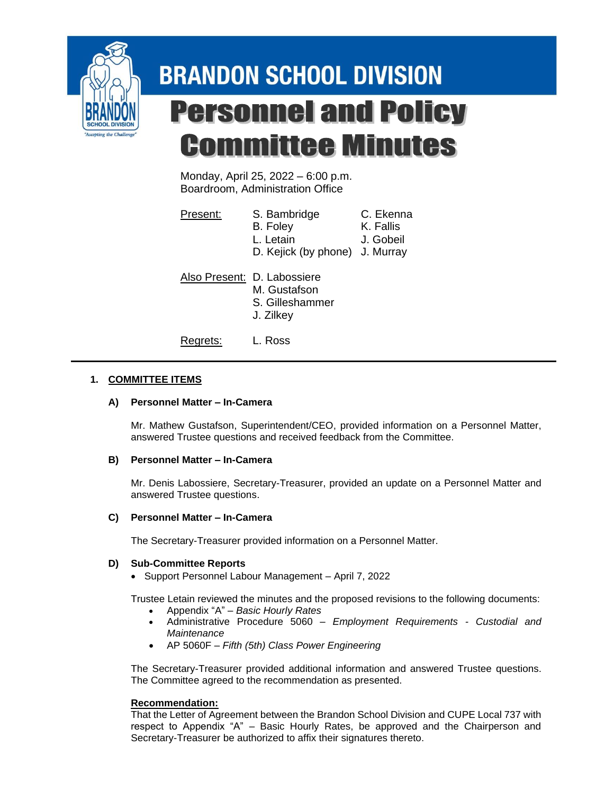

# **BRANDON SCHOOL DIVISION Personnel and Policy Committee Minutes**

Monday, April 25, 2022 – 6:00 p.m. Boardroom, Administration Office

| Present: | S. Bambridge<br>B. Foley<br>L. Letain<br>D. Kejick (by phone) J. Murray     | C. Ekenna<br>K. Fallis<br>J. Gobeil |
|----------|-----------------------------------------------------------------------------|-------------------------------------|
|          | Also Present: D. Labossiere<br>M. Gustafson<br>S. Gilleshammer<br>J. Zilkey |                                     |

Regrets: L. Ross

## **1. COMMITTEE ITEMS**

## **A) Personnel Matter – In-Camera**

Mr. Mathew Gustafson, Superintendent/CEO, provided information on a Personnel Matter, answered Trustee questions and received feedback from the Committee.

#### **B) Personnel Matter – In-Camera**

Mr. Denis Labossiere, Secretary-Treasurer, provided an update on a Personnel Matter and answered Trustee questions.

#### **C) Personnel Matter – In-Camera**

The Secretary-Treasurer provided information on a Personnel Matter.

#### **D) Sub-Committee Reports**

• Support Personnel Labour Management – April 7, 2022

Trustee Letain reviewed the minutes and the proposed revisions to the following documents:

- Appendix "A" *Basic Hourly Rates*
- Administrative Procedure 5060 *Employment Requirements - Custodial and Maintenance*
- AP 5060F *Fifth (5th) Class Power Engineering*

The Secretary-Treasurer provided additional information and answered Trustee questions. The Committee agreed to the recommendation as presented.

#### **Recommendation:**

That the Letter of Agreement between the Brandon School Division and CUPE Local 737 with respect to Appendix "A" – Basic Hourly Rates, be approved and the Chairperson and Secretary-Treasurer be authorized to affix their signatures thereto.